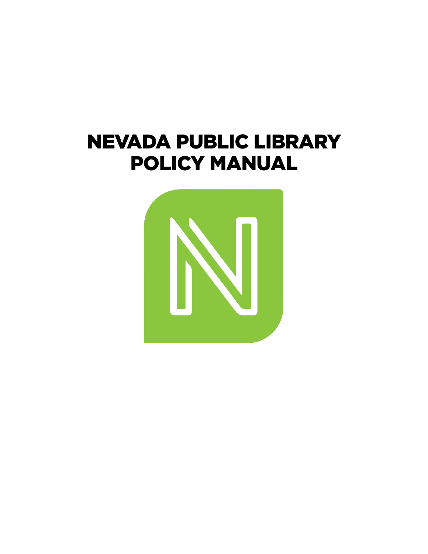# **NEVADA PUBLIC LIBRARY POLICY MANUAL**

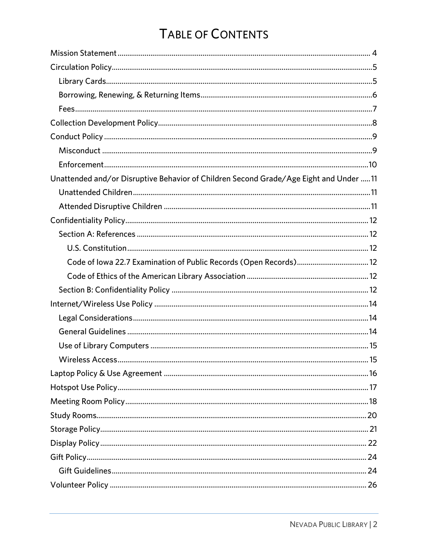# TABLE OF CONTENTS

| Unattended and/or Disruptive Behavior of Children Second Grade/Age Eight and Under 11 |
|---------------------------------------------------------------------------------------|
|                                                                                       |
|                                                                                       |
|                                                                                       |
|                                                                                       |
|                                                                                       |
|                                                                                       |
|                                                                                       |
|                                                                                       |
|                                                                                       |
|                                                                                       |
|                                                                                       |
|                                                                                       |
|                                                                                       |
|                                                                                       |
|                                                                                       |
|                                                                                       |
|                                                                                       |
|                                                                                       |
|                                                                                       |
|                                                                                       |
|                                                                                       |
|                                                                                       |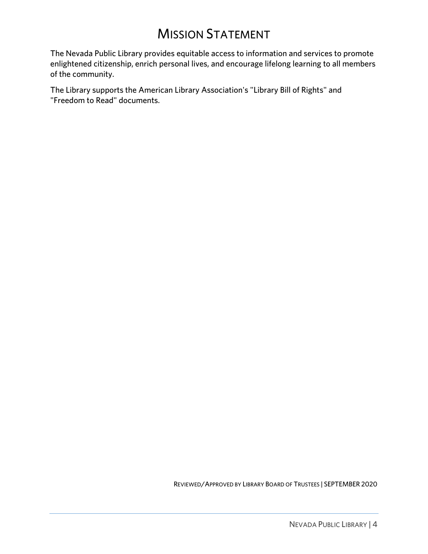# **MISSION STATEMENT**

<span id="page-3-0"></span>The Nevada Public Library provides equitable access to information and services to promote The Nevada Community provides to information and services to information and services to provide and services to provide and services to provide and services to provide and services to provide a service storm and services enlightened citizenship, enrich personal lives, and encourage lifelong learning to all members of the community.

The Library supports the American Library Association's "Library Bill of Rights" and "Freedom to Read" documents.

REVIEWED/APPROVED BY LIBRARY BOARD OF TRUSTEES | SEPTEMBER 2020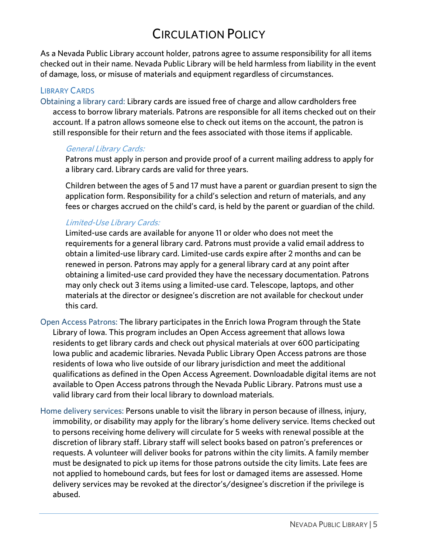## **CIRCULATION POLICY**

<span id="page-4-0"></span>As a Nevada Public Library account holder, patrons agree to assume responsibility for all items checked out in their name. Nevada Public Library will be held harmless from liability in the event of damage, loss, or misuse of materials and equipment regardless of circumstances. of damage, loss, or misuse of materials and equipment regardless of circumstances.

### <span id="page-4-1"></span>**LIBRARY CARDS**

Obtaining a library card: Library cards are issued free of charge and allow cardholders free access to borrow library materials. Patrons are responsible for all items checked out on their account. If a patron allows someone else to check out items on the account, the patron is  $\alpha$  is a particular to check out it allows some patron and the feed accoculted with those items if annisoble still responsible for their return and the fees associated with those items if applicable.

### General Library Cards:

Patrons must apply in person and provide proof of a current mailing address to apply for<br>a library card. Library cards are valid for three years. a library card. Library cards are valid for three years.

Children between the ages of 5 and 17 must have a parent or guardian present to sign the<br>application form. Responsibility for a child's selection and return of materials, and any application form. Responsibility for a child selection and return of materials, and any fees or charges accrued on the child's card, is held by the parent or guardian of the child.

### Limited-Use Library Cards:

Limited-use cards are available for anyone 11 or older who does not meet the obtain a limited-use library card. Limited-use cards expire after 2 months and can be renewed in person. Patrons may apply for a general library card at any point after obtaining a limited-use card provided they have the necessary documentation. Patrons may only check out 3 items using a limited-use card. Telescope, laptops, and other may only check out 3 items using a immediate card. Telescope, laptops, and other<br>materials at the director or designee's discretion are not available for checkout und materials at the director or designee's discretion are not available for checkout under this card.

- Open Access Patrons: The library participates in the Enrich Iowa Program through the State<br>Library of Iowa. This program includes an Open Access agreement that allows Iowa residents to get library cards and check out physical materials at over 600 participating lowa public and academic libraries. Nevada Public Library Open Access patrons are those residents of lowa who live outside of our library jurisdiction and meet the additional qualifications as defined in the Open Access Agreement. Downloadable digital items are not available to Open Access patrons through the Nevada Public Library. Patrons must use a available to Open Access patrons through the Nevada Public Library. Patrons must use a<br>valid library card from their local library to download materials valid library card from their local library to download materials.
- Home delivery services: Persons unable to visit the library in person because of illness, injury, to persons receiving home delivery will circulate for 5 weeks with renewal possible at the discretion of library staff. Library staff will select books based on patron's preferences or requests. A volunteer will deliver books for patrons within the city limits. A family member must be designated to pick up items for those patrons outside the city limits. Late fees are not applied to homebound cards, but fees for lost or damaged items are assessed. Home  $h^{(1)}$  is the set of the set of  $h^{(2)}$  feed to the director's (designee's discretion if the privilege is delivery services may be revoked at the director's/designee's discretion if the privilege is abused.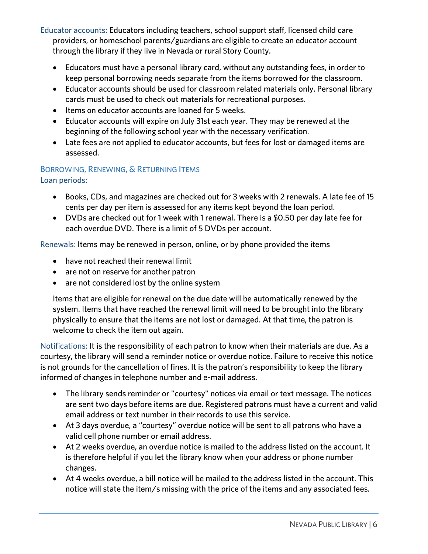Educator accounts: Educators including teachers, school support staff, licensed child care providers, or homeschool particles, guardians are eligible to create an eligible to count and the library of the visit of the state and the state and the state and the state and the state and the state and the state and th through the library if they live in Nevada or rural Story County.

- Educators must have a personal library card, without any outstanding fees, in order to keep personal borrowing needs separate from the items borrowed for the classroom.
- example is the independent of the items borrows in the items borrowed for the classroom.<br>
Educator accounts should be used for classroom related materials only. Personal library
- out must be used to check out materials for recreational purposes.<br>
Items on educator accounts are loaned for 5 weeks.<br>
A Educator accounts will expire on July 31st each year. They may be ref
- Educator accounts will expire on July 31st each year. They may be renewed at the beginning of the following school year with the necessary verification.
- Late fees are not applied to educator accounts, but fees for lost or damaged items are assessed.

### <span id="page-5-0"></span>BORROWING, RENEWING, & RETURNING ITEMS<br>Loan periods: Loan periods:

- Books, CDs, and magazines are checked out for 3 weeks with 2 renewals. A late fee of 15 cents per day per item is assessed for any items kept beyond the loan period.
- DVDs are checked out for 1 week with 1 renewal. There is a \$0.50 per day late fee for each overdue DVD. There is a limit of 5 DVDs per account.

Renewals: Items may be renewed in person, online, or by phone provided the items

- have not reached their renewal limit
- are not on reserve for another patron
- are not considered lost by the online system

Items that are eligible for renewal on the due date will be automatically renewed by the<br>system. Items that have reached the renewal limit will need to be brought into the library physically to ensure that the items are not lost or damaged. At that time, the patron is  $p_{\text{max}}$  for the items are not lost or damaged. At the patron is the patron is that time, the patron is the patron is that time, the patron is that time, the patron is the patron is the patron in the patron is the patron we come to check the item out again.

Notifications: It is the responsibility of each patron to know when their materials are due. As a<br>courtesy, the library will send a reminder notice or overdue notice. Failure to receive this notice is not grounds for the cancellation of fines. It is the patron's responsibility to keep the library  $\frac{1}{2}$  is not ground state cancellation of  $\frac{1}{2}$  is the patron of  $\frac{1}{2}$  is the library responsibility to  $\frac{1}{2}$  is the library of  $\frac{1}{2}$  is the library of  $\frac{1}{2}$  is the library of  $\frac{1}{2}$  is the libr informed of changes in telephone number and e-mail address.

- The library sends reminder or "courtesy" notices via email or text message. The notices are sent two days before items are due. Registered patrons must have a current and valid email address or text number in their records to use this service.
- email address or text number in their records to diversion their records.<br>At 3 days overdue, a "courtesy" overdue notice will be sent to all patrons who have a<br>valid cell phone number or email address.
- At 2 weeks overdue, an overdue notice is mailed to the address listed on the account. It<br>is therefore beloful if you let the library know when your address or phone number. is therefore helpful if you let the library know when your address or phone number changes.
- At 4 weeks overdue, a bill notice will be mailed to the address listed in the account. This<br>notice will state the item /s missing with the price of the items and any associated fees notice with the items and items and any associated fees. The items and any associated fees.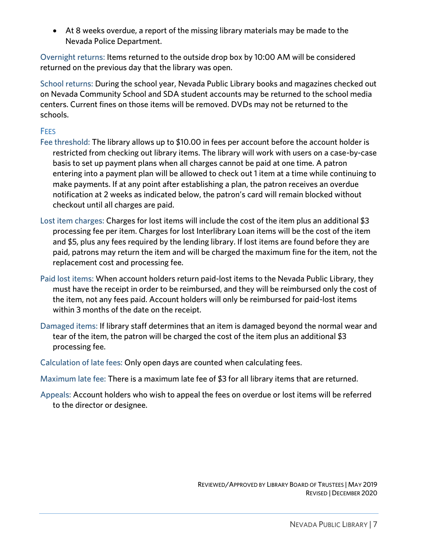At 8 weeks overdue, a report of the missing library materials may be made to the Nevada Police Department.

 $\alpha$ returned on the previous day that the library was open.

School returns: During the school year, Nevada Public Library books and magazines checked out<br>on Nevada Community School and SDA student accounts may be returned to the school media centers. Current fines on those items will be removed. DVDs may not be returned to the centers. Current fines on the removed. During the removed. During the rest may not be returned to the returned schools.

### <span id="page-6-0"></span>**FEES**

- Fee threshold: The library allows up to \$10.00 in fees per account before the account holder is restricted from checking out library items. The library will work with users on a case-by-case basis to set up payment plans when all charges cannot be paid at one time. A patron entering into a payment plan will be allowed to check out 1 item at a time while continuing to make payments. If at any point after establishing a plan, the patron receives an overdue notification at 2 weeks as indicated below, the patron's card will remain blocked without checkout until all charges are paid. checkout until all charges are paid.
- Lost item charges: Charges for lost items will include the cost of the item plus an additional \$3<br>processing fee per item. Charges for lost Interlibrary Loan items will be the cost of the item and \$5, plus any fees required by the lending library. If lost items are found before they are paid, patrons may return the item and will be charged the maximum fine for the item, not the replacement cost and processing fee. replacement cost and processing fee.
- Paid lost items: When account holders return paid-lost items to the Nevada Public Library, they the item, not any fees paid. Account holders will only be reimbursed for paid-lost items within 3 months of the date on the receipt. within 3 months of the date on the receipt.
- Damaged items: If library staff determines that an item is damaged beyond the normal wear and<br>tear of the item, the patron will be charged the cost of the item plus an additional \$3 processing fee. processing fee.
- Calculation of late fees: Only open days are counted when calculating fees.
- Maximum late fee: There is a maximum late fee of \$3 for all library items that are returned.
- Appeals: Account holders who wish to appeal the fees on overdue or lost items will be referred<br>to the director or designee. to the director or designee.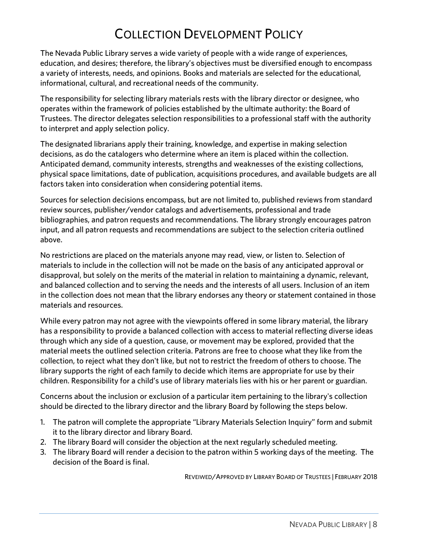# <span id="page-7-0"></span>COLLECTION DEVELOPMENT POLICY<br>The Nevada Public Library serves a wide variety of people with a wide range of experiences,

education, and desires; therefore, the library's objectives must be diversified enough to encompass a variety of interests, needs, and opinions. Books and materials are selected for the educational,  $\alpha$  informational, cultural, and recreational needs of the community. informational, cultural, and recreational needs of the community.

The responsibility for selecting library materials rests with the library director or designee, who operates within the framework of policies established by the ultimate authority: the Board of Trustees. The director delegates selection responsibilities to a professional staff with the authority to interpret and apply selection policy. to interpret and apply selection policy.

The designated librarians apply their training, knowledge, and expertise in making selection Anticipated demand, community interests, strengths and weaknesses of the existing collections, physical space limitations, date of publication, acquisitions procedures, and available budgets are all physical space limitations, date of publication, according to publications, and available budgets are all<br>factors taken into consideration when considering notential items factors taken into consideration when considering potential items.

Sources for selection decisions encompass, but are not limited to, published reviews from standard<br>review sources, publisher/vendor catalogs and advertisements, professional and trade bibliographies, and patron requests and recommendations. The library strongly encourages patron bibliographies, and process and recommendations. The library strongly encourages patron requests and recommendations. The relation of the selection criteria outlined input, and all patron requests and recommendations are subject to the selection criteria outlined above.

No restrictions are placed on the materials anyone may read, view, or listen to. Selection of<br>materials to include in the collection will not be made on the basis of any anticipated approval or disapproval, but solely on the merits of the material in relation to maintaining a dynamic, relevant, and balanced collection and to serving the needs and the interests of all users. Inclusion of an item in the collection does not mean that the library endorses any theory or statement contained in those materials and resources. materials and resources.

While every patron may not agree with the viewpoints offered in some library material, the library<br>has a responsibility to provide a balanced collection with access to material reflecting diverse ideas through which any side of a question, cause, or movement may be explored, provided that the material meets the outlined selection criteria. Patrons are free to choose what they like from the collection, to reject what they don't like, but not to restrict the freedom of others to choose. The<br>library supports the right of each family to decide which items are appropriate for use by their  $\frac{1}{2}$  contribution of the right of each family to decide which is a parameter of  $\frac{1}{2}$  and  $\frac{1}{2}$  contribution. Recognized its are appropriate for  $\frac{1}{2}$  and  $\frac{1}{2}$  contribution  $\frac{1}{2}$  and  $\frac{1}{2}$  co children. Responsibility for a child's use of library materials lies with his or her parent or guardian.

Concerns about the inclusion or exclusion of a particular item pertaining to the library's collection should be directed to the library director and the library Board by following the steps below.

- 1. The patron will complete the appropriate "Library Materials Selection Inquiry" form and submit
- 2. The library Board will consider the objection at the next regularly scheduled meeting.
- 2. The library Board will consider the objection at the next regularly scheduled meeting. 3. The library Board will render a decision to the patron within 5 working days of the meeting. The decision of the Board is final.

REVEIWED/APPROVED BY LIBRARY BOARD OF TRUSTEES | FEBRUARY 2018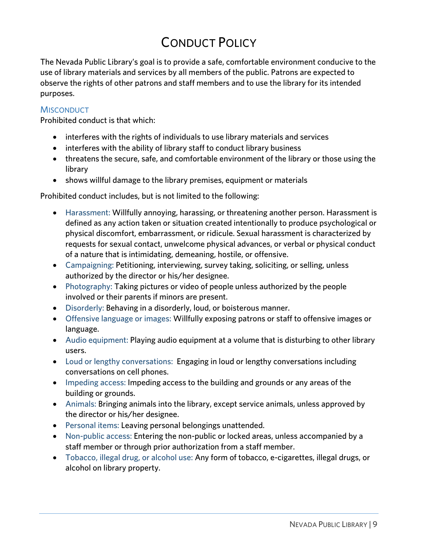# **CONDUCT POLICY**

<span id="page-8-0"></span>The Nevada Public Library's goal is to provide a safe, comfortable environment conducive to the use of library materials and services by all members of the public. Patrons are expected to observe the rights of other patrons and staff members and to use the library for its intended observe the rights of other patrons and staff members and to use the library for its intended purposes.

### <span id="page-8-1"></span>**MISCONDUCT**

Prohibited conduct is that which: Prohibited conduct is that which:

- interferes with the rights of individuals to use library materials and services
- interferes with the ability of library staff to conduct library business
- threatens the secure, safe, and comfortable environment of the library or those using the
- $\bullet$  shows willful damage to the library premises, equipment or materials

Prohibited conduct includes, but is not limited to the following:

- Harassment: Willfully annoying, harassing, or threatening another person. Harassment is defined as any action taken or situation created intentionally to produce psychological or physical discomfort, embarrassment, or ridicule. Sexual harassment is characterized by requests for sexual contact, unwelcome physical advances, or verbal or physical conduct of a nature that is intimidating, demeaning, hostile, or offensive.
- Campaigning: Petitioning, interviewing, survey taking, soliciting, or selling, unless<br>authorized by the director or his /her designes
- Photography: Taking pictures or video of people unless authorized by the people<br>involved or their parents if minors are present
- Disorderly: Behaving in a disorderly, loud, or boisterous manner.
- Offensive language or images: Willfully exposing patrons or staff to offensive images or
- Audio equipment: Playing audio equipment at a volume that is disturbing to other library<br>Lisers
- Loud or lengthy conversations: Engaging in loud or lengthy conversations including<br>conversations on cell phones
- Impeding access: Impeding access to the building and grounds or any areas of the<br>building or grounds
- Animals: Bringing animals into the library, except service animals, unless approved by<br>the director or his (ber designes
- Personal items: Leaving personal belongings unattended.<br>• Non-public access: Entering the non-public or locked are:
- Non-public access: Entering the non-public or locked areas, unless accompanied by a<br>staff member or through prior authorization from a staff member.
- Tobacco, illegal drug, or alcohol use: Any form of tobacco, e-cigarettes, illegal drugs, or<br>alcohol on library property. alcohol on library property.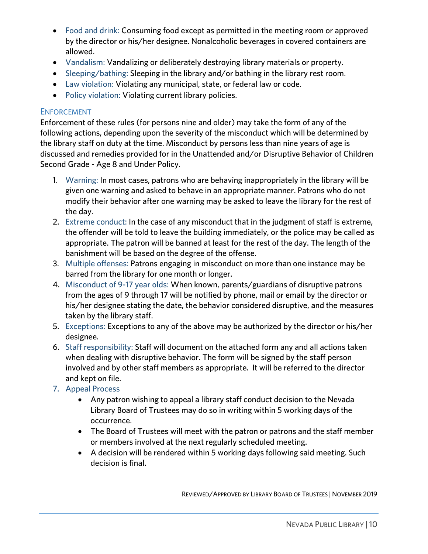- Food and drink: Consuming food except as permitted in the meeting room or approved by the director or his/her designee. Nonalcoholic beverages in covered containers are
- Vandalism: Vandalizing or deliberately destroying library materials or property.<br>• Slooping (bathing: Slooping in the library and (or bathing in the library rest reem
- Sleeping/bathing: Sleeping in the library and/or bathing in the library rest room.
- Law violation: Violating any municipal, state, or federal law or code.
- Policy violation: Violating current library policies.

<span id="page-9-0"></span>ENFORCEMENT<br>Enforcement of these rules (for persons nine and older) may take the form of any of the following actions, depending upon the severity of the misconduct which will be determined by the library staff on duty at the time. Misconduct by persons less than nine years of age is discussed and remedies provided for in the Unattended and/or Disruptive Behavior of Children discussed and remedies provided and remedies provided and Under Policy of Children and Children and Children and Children and Children and Children and Children and Children and Children and Children and Children and Child Second Grade - Age 8 and Under Policy.

- 1. Warning: In most cases, patrons who are behaving inappropriately in the library will be given one warning and asked to behave in an appropriate manner. Patrons who do not to<br>modify their behavior after one warning may be asked to leave the library for the rest o  $\frac{1}{2}$  the day behavior after one ward to leave the library for the rest of  $\frac{1}{2}$ the day.<br>2. Extreme conduct: In the case of any misconduct that in the judgment of staff is extreme,
- the offender will be told to leave the building immediately, or the police may be called as appropriate. The patron will be banned at least for the rest of the day. The length of the banishment will be based on the degree of the offense.
- 3. Multiple offenses: Patrons engaging in misconduct on more than one instance may be barred from the library for one month or longer.
- 4. Misconduct of 9-17 year olds: When known, parents/guardians of disruptive patrons from the ages of 9 through 17 will be notified by phone, mail or email by the director or his/her designee stating the date, the behavior considered disruptive, and the measures taken by the library staff.
- taken by the library staff. 5. Exceptions: Exceptions to any of the above may be authorized by the director or his/her
- designee.<br>6. Staff responsibility: Staff will document on the attached form any and all actions taken when dealing with disruptive behavior. The form will be signed by the staff person when dealing with disruptive behaviors with the form will be signed by the state person.<br>Involved and by other staff members as annronriate. It will be referred to the direct  $\frac{1}{2}$  and bent on file
- and kept on file.<br>7. Appeal Process
- <sup>7.</sup> Appeal Processes<br>Any patron wishing to appeal a library staff conduct decision to the Nevada<br>Library Board of Trustees may do so in writing within 5 working days of the Library Board of Trustees may do so in writing within 5 working days of the
	- The Board of Trustees will meet with the patron or patrons and the staff member<br>or members involved at the next requierly scheduled meeting
	- A decision will be rendered within 5 working days following said meeting. Such<br>decision is final decision is final.

REVIEWED/APPROVED BY LIBRARY BOARD OF TRUSTEES | NOVEMBER 2019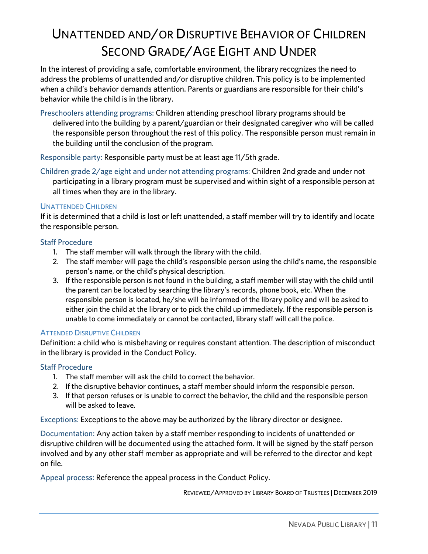# <span id="page-10-0"></span>UNATTENDED AND/OR DISRUPTIVE BEHAVIOR OF CHILDREN<br>SECOND GRADE/AGE EIGHT AND UNDER

In the interest of providing a safe, comfortable environment, the library recognizes the need to address the problems of unattended and/or disruptive children. This policy is to be implemented when a child's behavior demands attention. Parents or guardians are responsible for their child's behavior while the child is in the library. behavior while the child is in the library.

Preschoolers attending programs: Children attending preschool library programs should be the responsible person throughout the rest of this policy. The responsible person must remain in the building until the conclusion of the program.

the building until the conclusion of the program.

Responsible party: Responsible party must be at least age 11/5th grade.<br>Children grade 2/age eight and under not attending programs: Children 2nd grade and under not participating in a library program must be supervised and within sight of a responsible person at participating in a library program must be supervised and within sight of a responsible person at all times when they are in the library.

<span id="page-10-1"></span>UNATTENDED CHILDREN<br>If it is determined that a child is lost or left unattended, a staff member will try to identify and locate the responsible person. the responsible person.

- Staff Procedure<br>1. The staff member will walk through the library with the child.
	- 2. The staff member will page the child's responsible person using the child's name, the responsible person's name, or the child's physical description.
	- 3. If the responsible person is not found in the building, a staff member will stay with the child until the parent can be located by searching the library's records, phone book, etc. When the responsible person is located, he/she will be informed of the library policy and will be asked to either join the child at the library or to pick the child up immediately. If the responsible person is  $\frac{1}{2}$  is the component of  $\frac{1}{2}$  and  $\frac{1}{2}$  is picked to  $\frac{1}{2}$  in  $\frac{1}{2}$  is the responsible to come immediately. Or cannot be contacted library staff will call the nolice unable to come immediately or cannot be contacted, library staff will call the police.

<span id="page-10-2"></span>ATTENDED DISRUPTIVE CHILDREN<br>Definition: a child who is misbehaving or requires constant attention. The description of misconduct Definition a child who is misconducted who is constant attention. The description of misconduction in the distance of misconducted by the Conduct Policy. in the library is provided in the Conduct Policy.

- 1. The staff member will ask the child to correct the behavior.
- 2. If the disruptive behavior continues, a staff member should inform the responsible person.
- $\overline{2}$ . If that person refuses or is unable to correct the behavior the child and the responsible per  $\frac{1}{2}$  is understanded to correct the behavior, the child and the responsibility person responsible person is unable person in the responsible person in the responsibility of  $\frac{1}{2}$ will be asked to leave.

Exceptions: Exceptions to the above may be authorized by the library director or designee.<br>Documentation: Any action taken by a staff member responding to incidents of unattended or

disruptive children will be documented using the attached form. It will be signed by the staff person disruptive children will be documented using the attached form. It will be segmently the start person.<br>Involved and by any other staff member as annronriate and will be referred to the director and kent. involved and by any other staff member as appropriate and will be referred to the director and kept on file.

Appeal process: Reference the appeal process in the Conduct Policy.

REVIEWED/APPROVED BY LIBRARY BOARD OF TRUSTEES | DECEMBER 2019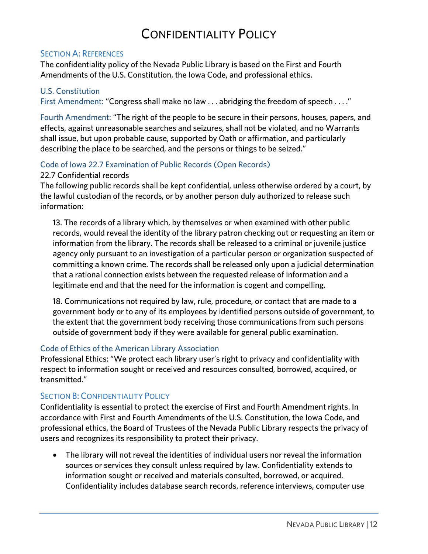### CONFIDENTIALITY POLICY CONFIDENTIALITY POLICY

### <span id="page-11-1"></span><span id="page-11-0"></span>**SECTION A: REFERENCES**

The confidentiality policy of the Nevada Public Library is based on the First and Fourth Amendments of the U.S. Constitution, the Iowa Code, and professional ethics. Amendments of the U.S. Constitution, the Iowa Code, and professional ethics.

### <span id="page-11-2"></span>**U.S. Constitution**

U.S. Constitution First Amendment: "Congress shall make no law . . . abridging the freedom of speech . . . ."

Fourth Amendment: "The right of the people to be secure in their persons, houses, papers, and<br>effects, against unreasonable searches and seizures, shall not be violated, and no Warrants shall issue, but upon probable cause, supported by Oath or affirmation, and particularly shall is upon probability that  $\frac{1}{2}$  is the cause of  $\frac{1}{2}$  in  $\frac{1}{2}$  is the cause of  $\frac{1}{2}$  is the cause of  $\frac{1}{2}$  is the cause of  $\frac{1}{2}$  is the particular in  $\frac{1}{2}$  is the cause of  $\frac{1}{2}$  is the describing the place to be searched, and the persons or things to be seized."

# <span id="page-11-3"></span>Code of Iowa 22.7 Examination of Public Records (Open Records)

The following public records shall be kept confidential, unless otherwise ordered by a court, by The following public records shall be kept confidential, unless otherwise ordered by a court, by a court, by a<br>the lawful custodian of the records or by another person duly authorized to release such the lawful custodian of the records, or by another person duly authorized to release such information: information:

13. The records of a library which, by themselves or when examined with other public<br>records, would reveal the identity of the library patron checking out or requesting an item or information from the library. The records shall be released to a criminal or juvenile justice agency only pursuant to an investigation of a particular person or organization suspected of committing a known crime. The records shall be released only upon a judicial determination that a rational connection exists between the requested release of information and a legitimate end and that the need for the information is cogent and compelling. legitimate end and that the need for the information is cogent and compelling.

18. Communications not required by law, rule, procedure, or contact that are made to a<br>government body or to any of its employees by identified persons outside of government, to the extent that the government body receiving those communications from such persons  $t_{\text{total}}$  of  $t_{\text{total}}$  that the government body if they were available for general public examination outside of government body if they were available for general public examination.

<span id="page-11-4"></span>Code of Ethics of the American Library Association<br>Professional Ethics: "We protect each library user's right to privacy and confidentiality with Professional Ethics: "We provide the protect of the protect each library user of the protect to information cought or received and recources conculted borrowed acquired or respect to information sought or received and resources consulted, borrowed, acquired, or transmitted."

<span id="page-11-5"></span>SECTION B: CONFIDENTIALITY POLICY<br>Confidentiality is essential to protect the exercise of First and Fourth Amendment rights. In accordance with First and Fourth Amendments of the U.S. Constitution, the Iowa Code, and professional ethics, the Board of Trustees of the Nevada Public Library respects the privacy of  $\rho$  professional experimental ethics, the Board of Trustees of the Nevada Public Library respectively. users and recognizes its responsibility to protect their privacy.

• The library will not reveal the identities of individual users nor reveal the information sources or services they consult unless required by law. Confidentiality extends to information sought or received and materials consulted, borrowed, or acquired. confidentiality includes database search records reference interviews, compute Confidentiality includes database search records, reference interviews, computer use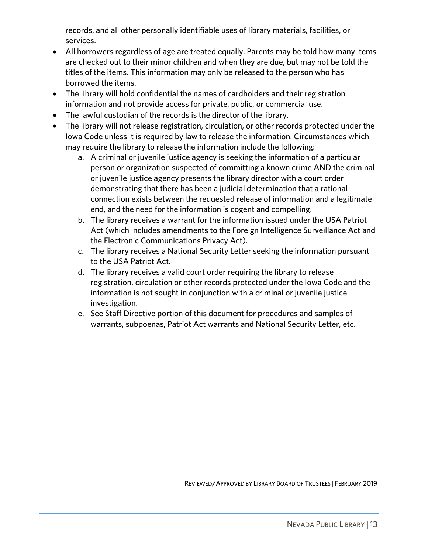records, and all other personally identifiable uses of library materials, facilities, or

- All borrowers regardless of age are treated equally. Parents may be told how many items<br>are checked out to their minor children and when they are due, but may not be told the are checked out to their minor children and when they are due, but may not be told the titles of the items. This information may only be released to the person who has borrowed the items.
- The library will hold confidential the names of cardholders and their registration information and not provide access for private public, or commercial use
- The lawful custodian of the records is the director of the library.<br>• The library will not release registration, circulation, or other records proto
- The library will not release registration, circulation, or other records protected under the lowa Code unless it is required by law to release the information. Circumstances which may require the library to release the information include the following:
	- a. A criminal or juvenile justice agency is seeking the information of a particular person or organization suspected of committing a known crime AND the criminal or juvenile justice agency presents the library director with a court order demonstrating that there has been a judicial determination that a rational connection exists between the requested release of information and a legitimate end, and the need for the information is cogent and compelling.
	- b. The library receives a warrant for the information issued under the USA Patriot Act (which includes amendments to the Foreign Intelligence Surveillance Act and the Electronic Communications Privacy Act).
	- c. The library receives a National Security Letter seeking the information pursuant to the USA Patriot Act.
	- d. The library receives a valid court order requiring the library to release registration, circulation or other records protected under the lowa Code and the information is not sought in conjunction with a criminal or juvenile justice investigation.
	- e. See Staff Directive portion of this document for procedures and samples of e. See Staff Directive portion of this document for procedures and samples of the procedure for procedures and  $\alpha$ warrants, subpoening and national Security Letter, etc. Act was also and National Security Letter, etc.

REVIEWED/APPROVED BY LIBRARY BOARD OF TRUSTEES | FEBRUARY 2019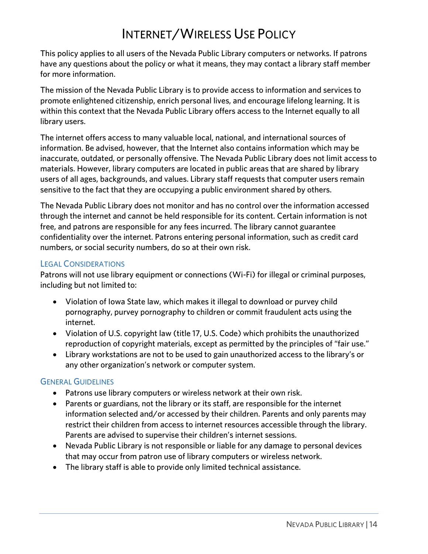<span id="page-13-0"></span>INTERNET/WIRELESS USE POLICY<br>This policy applies to all users of the Nevada Public Library computers or networks. If patrons This policy applies to all users of the Nevada Public Library computers of the Nevada Public Library computers or networks. If paying the Nevada Public Library computers or networks. If  $\frac{1}{2}$ have any questions about the policy or what it means, they may contact a library staff member.<br>for more information for more information.

The mission of the Nevada Public Library is to provide access to information and services to promote enlightened citizenship, enrich personal lives, and encourage lifelong learning. It is promote enlightened citizenship entity and the contract personal lives of the literature of the literature of the literature lives of the literature literature in the literature of the literature literature in the literatu within this context that the Nevada Public Library offers access to the Internet equally to all<br>library users  $\overline{\phantom{a}}$ 

The internet offers access to many valuable local, national, and international sources of inaccurate, outdated, or personally offensive. The Nevada Public Library does not limit access to materials. However, library computers are located in public areas that are shared by library users of all ages, backgrounds, and values. Library staff requests that computer users remain users of all ages, backgrounds, and values. Library staff requests that computer users remain.<br>consitive to the fact that they are occupying a public environment shared by others. sensitive to the fact that they are occupying a public environment shared by others.

The Nevada Public Library does not monitor and has no control over the information accessed<br>through the internet and cannot be held responsible for its content. Certain information is not free, and patrons are responsible for any fees incurred. The library cannot guarantee confidentiality over the internet. Patrons entering personal information, such as credit card experience internet. Patrons enter the internet cardinal internet. Patrons entering personal information, such as contained to the internet cardinal internet cardinal internet cardinal internet cardinal internet cardinal i numbers, or social security numbers, do so at their own risk.

<span id="page-13-1"></span>LEGAL CONSIDERATIONS<br>Patrons will not use library equipment or connections (Wi-Fi) for illegal or criminal purposes, including but not limited to: including but not limited to:

- Violation of Iowa State law, which makes it illegal to download or purvey child pornography, purvey pornography to children or commit fraudulent acts using the
- Violation of U.S. copyright law (title 17, U.S. Code) which prohibits the unauthorized<br>reproduction of copyright materials, except as permitted by the principles of "fair use
- $\bullet$  Library workstations are not to be used to gain unauthorized access to the library's or any other organization's network or computer system.

- <span id="page-13-2"></span>• Patrons use library computers or wireless network at their own risk.
	- Parents or guardians, not the library or its staff, are responsible for the internet information selected and/or accessed by their children. Parents and only parents may restrict their children from access to internet resources accessible through the library. Parents are advised to supervise their children's internet sessions.
	- Nevada Public Library is not responsible or liable for any damage to personal devices.<br>
	that may occur from patron use of library computers or wireless network.
	- The library staff is able to provide only limited technical assistance.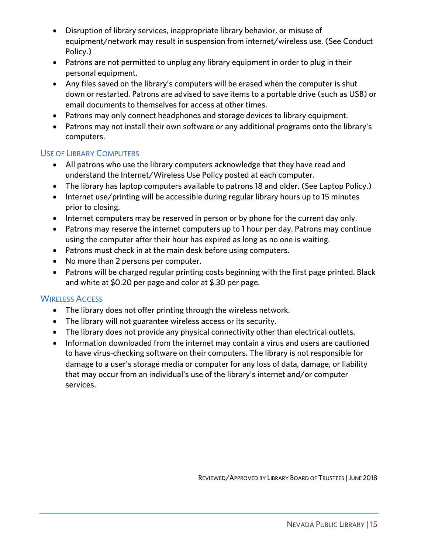- Disruption of library services, inappropriate library behavior, or misuse of equipment/network may result in suspension from internet/wireless use. (See Conduct
- Patrons are not permitted to unplug any library equipment in order to plug in their<br>nersonal equipment
- Any files saved on the library's computers will be erased when the computer is shut<br>down or restarted. Patrons are advised to save items to a portable drive (such as LIS down or restarted. Patrons are advised to save items to a portable drive (such as USB) or email documents to themselves for access at other times.
- Patrons may only connect headphones and storage devices to library equipment.<br>• Patrons may not install their own software or any additional programs onto the li
- Patrons may not install their own software or any additional programs onto the library's computers.

- <span id="page-14-0"></span>• All patrons who use the library computers acknowledge that they have read and<br>understand the Internet/Wireless Lise Policy posted at each computer
	- The library has laptop computers available to patrons 18 and older. (See Laptop Policy.)
	- Internet use/printing will be accessible during regular library hours up to 15 minutes prior to closing.
	- Internet computers may be reserved in person or by phone for the current day only.<br>• Patrons may reserve the internet computers up to 1 hour per day. Patrons may cent
	- Patrons may reserve the internet computers up to 1 hour per day. Patrons may continue using the computer after their hour has expired as long as no one is waiting.
	- **Patrons must check in at the main desk before using computers.**<br>
	All proper than 2 persons per computer
	- No more than 2 persons per computer.
	- Patrons will be charged regular printing costs beginning with the first page printed. Black and white at \$0.20 per page and color at \$.30 per page.

- <span id="page-14-1"></span> $\bullet$  The library does not offer printing through the wireless network.
	- The library will not guarantee wireless access or its security.
	- The library does not provide any physical connectivity other than electrical outlets.
	- Information downloaded from the internet may contain a virus and users are cautioned to have virus‐checking software on their computers. The library is not responsible for damage to a user's storage media or computer for any loss of data, damage, or liability that may occur from an individual's use of the library's internet and/or computer services.

REVIEWED/APPROVED BY LIBRARY BOARD OF TRUSTEES |JUNE 2018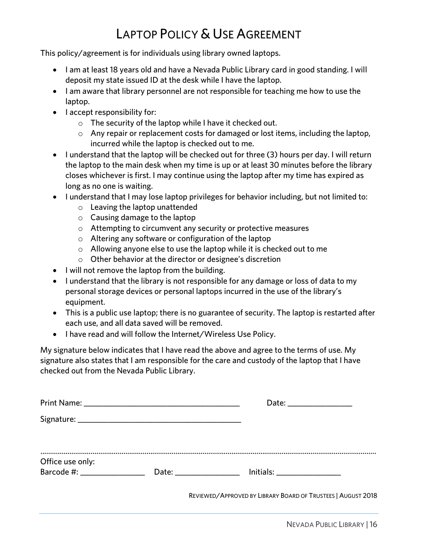# LAPTOP POLICY & USE AGREEMENT

<span id="page-15-0"></span>LAPTOP POLICY POLICY POLICY AGREEMENT.<br>His for individuals using library away diaments. This policy/agreement is for individuals using library owned laptops.

- I am at least 18 years old and have a Nevada Public Library card in good standing. I will deposit my state issued ID at the desk while I have the laptop.
- I am aware that library personnel are not responsible for teaching me how to use the laptop.
- I accept responsibility for:<br>  $\overline{a}$  The security of the
	- $\circ$  The security of the laptop while I have it checked out.
	- $\circ$  Any repair or replacement costs for damaged or lost items, including the laptop, incurred while the laptop is checked out to me.
- I understand that the laptop will be checked out for three (3) hours per day. I will return<br>the laptop to the main desk when my time is up or at least 30 minutes before the library the laptop to the main desk when my time is up or at least 30 minutes before the library<br>closes whichever is first. I may continue using the laptop after my time has expired as long as no one is waiting.
- $\bullet$  I understand that I may lose laptop privileges for behavior including, but not limited to:
	- <sup>o</sup> Leaving the laptop unattended
	- $\circ$  Causing damage to the laptop
	- <sup>o</sup> Attempting to circumvent any security or protective measures
	- <sup>o</sup> Altering any software or configuration of the laptop
	- $\circ$  Allowing anyone else to use the laptop while it is checked out to me
	- <sup>o</sup> Other behavior at the director or designee's discretion
- I will not remove the laptop from the building.
- I understand that the library is not responsible for any damage or loss of data to my personal storage devices or personal laptops incurred in the use of the library's
- This is a public use laptop; there is no guarantee of security. The laptop is restarted after<br>each use and all data saved will be removed
- I have read and will follow the Internet/Wireless Use Policy.

My signature below indicates that I have read the above and agree to the terms of use. My<br>signature also states that I am responsible for the care and custody of the laptop that I have checked out from the Nevada Public Library. checked out from the Nevada Public Library.

|                                                  | Date: ________________                                       |
|--------------------------------------------------|--------------------------------------------------------------|
|                                                  |                                                              |
| Office use only:<br>Barcode #: _________________ | Date: __________________ Initials: _______________           |
|                                                  | REVIEWED/APPROVED BY LIBRARY BOARD OF TRUSTEES   AUGUST 2018 |
|                                                  | $N$ $N$ $(1000C)$                                            |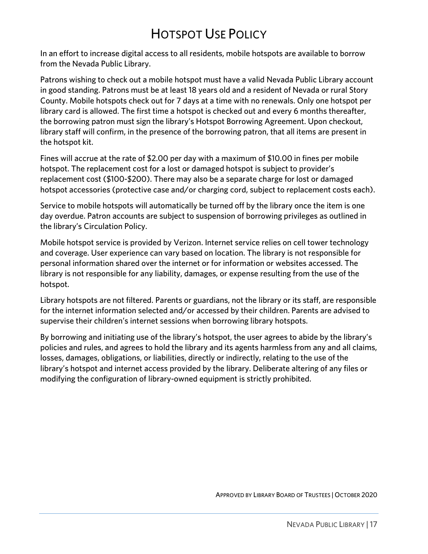# HOTSPOT USE POLICY

<span id="page-16-0"></span>In an effort to increase digital access to all residents, mobile hotspots are available to borrow from the Nevada Public Library. from the Nevada Public Library.

Patrons wishing to check out a mobile hotspot must have a valid Nevada Public Library account County. Mobile hotspots check out for 7 days at a time with no renewals. Only one hotspot per library card is allowed. The first time a hotspot is checked out and every 6 months thereafter, the borrowing patron must sign the library's Hotspot Borrowing Agreement. Upon checkout, library staff will confirm, in the presence of the borrowing patron, that all items are present in library staff will commun, in the presence of the borrowing patron, that all items are present in .<br>the hotenot kit the hotspot kit.

Fines will accrue at the rate of \$2.00 per day with a maximum of \$10.00 in fines per mobile hotspot. The replacement cost for a lost or damaged hotspot is subject to provider's replacement cost (\$100-\$200). There may also be a separate charge for lost or damaged hotspot accessories (protective case and/or charging cord, subject to replacement costs each). hotspot accessories (protective case and/or charging cord, subject to replacement costs each).

Service to mobile hotspots will automatically be turned off by the library once the item is one<br>day overdue. Patron accounts are subject to suspension of borrowing privileges as outlined in the library's Circulation Policy. the library's Circulation Policy.

Mobile hotspot service is provided by Verizon. Internet service relies on cell tower technology personal information shared over the internet or for information or websites accessed. The library is not responsible for any liability, damages, or expense resulting from the use of the library is not responsible for any liability, damages, or expense resulting from the use of the hotspot.

Library hotspots are not filtered. Parents or guardians, not the library or its staff, are responsible  $f(x)$  for the internet  $f(x)$  is the internet  $f(x)$  or a constant  $f(x)$  and  $f(x)$  are advised to  $f(x)$  are advised to  $f(x)$  and  $f(x)$  are advised to  $f(x)$  are advised to  $f(x)$  and  $f(x)$  are advised to  $f(x)$  are advised to supervise their children's internet sessions when borrowing library hotspots.

By borrowing and initiating use of the library's hotspot, the user agrees to abide by the library's<br>policies and rules, and agrees to hold the library and its agents harmless from any and all claims, losses, damages, obligations, or liabilities, directly or indirectly, relating to the use of the library's hotspot and internet access provided by the library. Deliberate altering of any files or modifying the configuration of library-owned equipment is strictly prohibited. modifying the configuration of library-owned equipment is strictly prohibited.

APPROVED BY LIBRARY BOARD OF TRUSTEES | OCTOBER 2020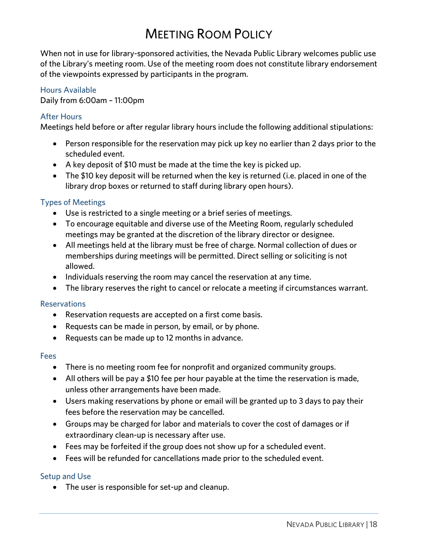# **MEETING ROOM POLICY**

<span id="page-17-0"></span>When not in use for library-sponsored activities, the Nevada Public Library welcomes public use of the Library's meeting room. Use of the meeting room does not constitute library endorsement of the Library's meeting room. Use of the meeting room does not constitute library endorsement.<br>of the viewpoints expressed by participants in the program of the viewpoints expressed by participants in the program.

### Hours Available

Daily from 6:00am - 11:00pm  $\mathcal{L}$  and  $\mathcal{L}$  from 6:00 cm  $\mathcal{L}$  = 11:00 pm

### **After Hours**

 $M$ eatings he Meetings held before or after regular library hours include the following additional stipulations:

- Person responsible for the reservation may pick up key no earlier than 2 days prior to the
- A key deposit of \$10 must be made at the time the key is picked up.<br>A The \$10 key deposit will be returned when the key is returned (i.e. r
- The \$10 key deposit will be returned when the key is returned (i.e. placed in one of the library drop boxes or returned to staff during library open hours).

- Types of Meetings<br>
 Use is restricted to a single meeting or a brief series of meetings.<br>
 To ancourage equitable and diverse use of the Meeting Boom, re
	- To encourage equitable and diverse use of the Meeting Room, regularly scheduled meetings may be granted at the discretion of the library director or designee.
	- All meetings held at the library must be free of charge. Normal collection of dues or memberships during meetings will be permitted. Direct selling or soliciting is not memberships during meetings will be permitted. Direct selling or soliciting is not
	- Individuals reserving the room may cancel the reservation at any time.
	- The library reserves the right to cancel or relocate a meeting if circumstances warrant.

- Reservation requests are accepted on a first come basis.
	- Requests can be made in person, by email, or by phone.
	- Requests can be made up to 12 months in advance.

### **Fees**

- There is no meeting room fee for nonprofit and organized community groups.
	- All others will be pay a \$10 fee per hour payable at the time the reservation is made, unless other arrangements have been made.
	- Users making reservations by phone or email will be granted up to 3 days to pay their
	- Groups may be charged for labor and materials to cover the cost of damages or if
	- $\bullet$  Fees may be forfeited if the group does not show up for a scheduled event.
	- Fees will be refunded for cancellations made prior to the scheduled event.

• The user is responsible for set-up and cleanup.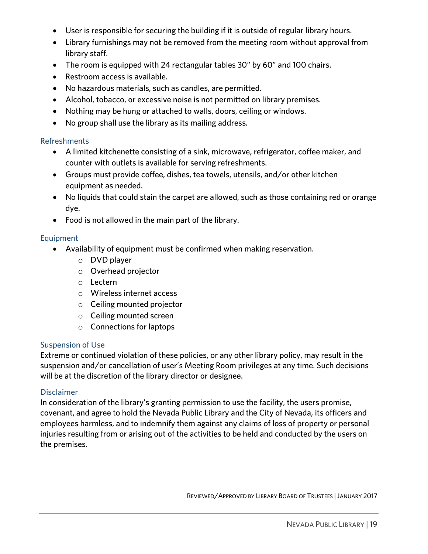- User is responsible for securing the building if it is outside of regular library hours.
- Library furnishings may not be removed from the meeting room without approval from
- The room is equipped with 24 rectangular tables 30" by 60" and 100 chairs.
- Restroom access is available.
- No hazardous materials, such as candles, are permitted.
- Alcohol, tobacco, or excessive noise is not permitted on library premises.
- Nothing may be hung or attached to walls, doors, ceiling or windows.
- No group shall use the library as its mailing address.

### **Refreshments**

- A limited kitchenette consisting of a sink, microwave, refrigerator, coffee maker, and<br>
counter with outlets is available for serving refreshments
	- Groups must provide coffee, dishes, tea towels, utensils, and/or other kitchen
	- No liquids that could stain the carpet are allowed, such as those containing red or orange
	- Food is not allowed in the main part of the library.

- Availability of equipment must be confirmed when making reservation.
	- <sup>o</sup> DVD player
	- <sup>o</sup> Overhead projector
	- <sup>o</sup> Lectern
	- <sup>o</sup> Wireless internet access
	- <sup>o</sup> Ceiling mounted projector
	- <sup>o</sup> Ceiling mounted screen
	- <sup>o</sup> Connections for laptops

Suspension of Use<br>Extreme or continued violation of these policies, or any other library policy, may result in the suspension and/or cancellation of user's Meeting Room privileges at any time. Such decisions suspension and/or cancellation of user is meeting recent privileges at any time. Such decisions<br>will be at the discretion of the library director or decisione will be at the discretion of the library director of the library director of the library director of the library director of the library director of the library director of the library director of the library director of t

Disclaimer<br>In consideration of the library's granting permission to use the facility, the users promise, covenant, and agree to hold the Nevada Public Library and the City of Nevada, its officers and employees harmless, and to indemnify them against any claims of loss of property or personal employees harmless, and to indemnity them against any claims of loss of property of personal<br>injuries resulting from or arising out of the activities to be held and conducted by the users on injuries resulting from or arising out of the activities to be held and conducted by the users on the premises.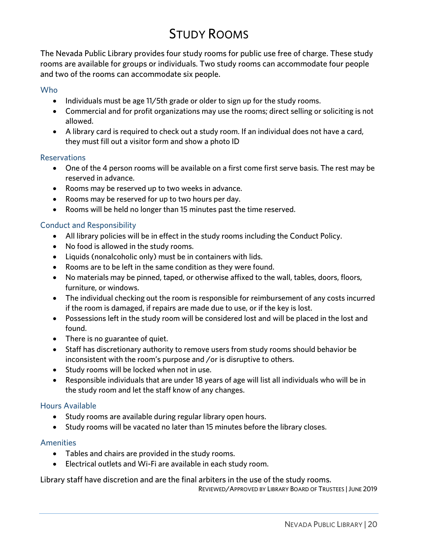# **STUDY ROOMS**

<span id="page-19-0"></span>The Nevada Public Library provides four study rooms for public use free of charge. These study rooms are available for groups or individuals. Two study rooms can accommodate four people and two of the rooms can accommodate six people. and two of the rooms can accommodate six people.

- Individuals must be age 11/5th grade or older to sign up for the study rooms.<br>Commercial and for profit erganizations may use the rooms: direct selling or
	- Commercial and for profit organizations may use the rooms; direct selling or soliciting is not allowed.
	- A library card is required to check out a study room. If an individual does not have a card,<br>they must fill out a visitor form and show a photo ID they must fill out a visitor form and show a photo ID

- One of the 4 person rooms will be available on a first come first serve basis. The rest may be<br>reserved in advance
	- Rooms may be reserved up to two weeks in advance.
	- Rooms may be reserved for up to two hours per day.
	- Rooms will be held no longer than 15 minutes past the time reserved.

- All library policies will be in effect in the study rooms including the Conduct Policy.<br>• No food is allowed in the study rooms
	- No food is allowed in the study rooms.
	- Liquids (nonalcoholic only) must be in containers with lids.
	- Rooms are to be left in the same condition as they were found.
	- No materials may be pinned, taped, or otherwise affixed to the wall, tables, doors, floors,
	- The individual checking out the room is responsible for reimbursement of any costs incurred if the room is damaged if repairs are made due to use or if the key is lost
	- Possessions left in the study room will be considered lost and will be placed in the lost and found.
	- There is no guarantee of quiet.
	- Staff has discretionary authority to remove users from study rooms should behavior be inconsistent with the room's purpose and /or is disruptive to others.
	- Study rooms will be locked when not in use.<br>• Pespensible individuals that are under 18 years of age will list all indi-
	- Responsible individuals that are under 18 years of age will list all individuals who will be in the study room and let the staff know of any changes.

### **Hours Available**

- Study rooms are available during regular library open hours.
	- Study rooms will be vacated no later than 15 minutes before the library closes.

- Tables and chairs are provided in the study rooms.
	- Electrical outlets and Wi-Fi are available in each study room.

# Library staff have discretion and are the final arbiters in the use of the study rooms.<br>REVIEWED/APPROVED BY LIBRARY BOARD OF TRUSTEES | JUNE 2019

REVIEWED/APPROVED BY LIBRARY BOARD OF TRUSTEES |JUNE 2019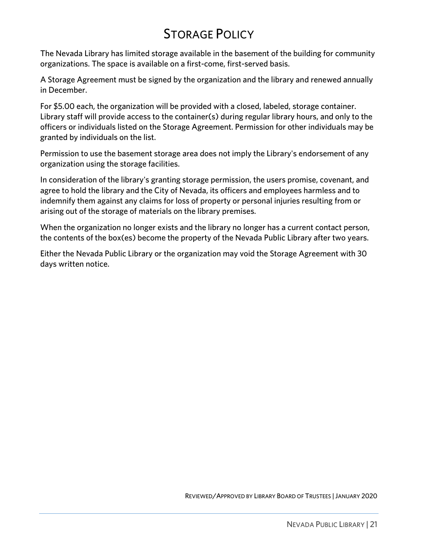## **STORAGE POLICY**

<span id="page-20-0"></span>The Nevada Library has limited storage available in the basement of the building for community organizations. The space is available on a first-come, first-served basis. organizations. The space is available on a first-come, first-served basis.

A Storage Agreement must be signed by the organization and the library and renewed annually in December.

For \$5.00 each, the organization will be provided with a closed, labeled, storage container.<br>Library staff will provide access to the container(s) during regular library hours, and only to the officers or individuals listed on the Storage Agreement. Permission for other individuals may be granted by individuals on the list. granted by individuals on the list.

Permission to use the basement storage area does not imply the Library's endorsement of any<br>organization using the storage facilities. organization using the storage facilities.

In consideration of the library's granting storage permission, the users promise, covenant, and<br>agree to hold the library and the City of Nevada, its officers and employees harmless and to indemnify them against any claims for loss of property or personal injuries resulting from or  $\frac{1}{2}$  in the magnetic order  $\frac{1}{2}$  in  $\frac{1}{2}$  in  $\frac{1}{2}$  in  $\frac{1}{2}$  in  $\frac{1}{2}$  in  $\frac{1}{2}$  in  $\frac{1}{2}$  in  $\frac{1}{2}$  in  $\frac{1}{2}$  in  $\frac{1}{2}$  in  $\frac{1}{2}$  in  $\frac{1}{2}$  in  $\frac{1}{2}$  in  $\frac{1}{2}$  in  $\frac{1}{2$ arising out of the storage of materials on the library premises.

 $\frac{1}{\sqrt{2}}$  when the box  $\frac{1}{\sqrt{2}}$  become the property of the Nevada Public Library after two vears the contents of the box(es) become the property of the Nevada Public Library after two years.

Either the Nevada Public Library or the organization may void the Storage Agreement with 30 days written notice.

REVIEWED/APPROVED BY LIBRARY BOARD OF TRUSTEES |JANUARY 2020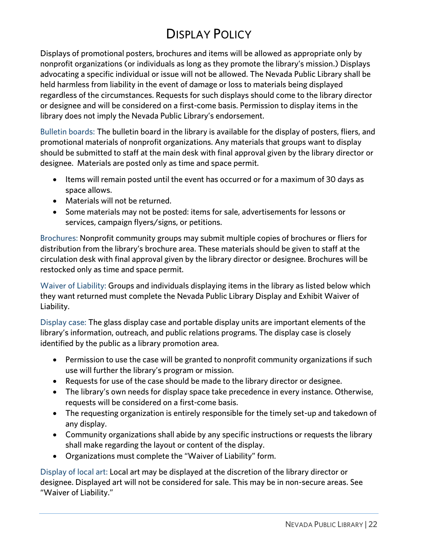# **DISPLAY POLICY**

<span id="page-21-0"></span>Displays of promotional posters, brochures and items will be allowed as appropriate only by nonprofit organizations (or individuals as long as they promote the library's mission.) Displays advocating a specific individual or issue will not be allowed. The Nevada Public Library shall be held harmless from liability in the event of damage or loss to materials being displayed. regardless of the circumstances. Requests for such displays should come to the library director or designee and will be considered on a first-come basis. Permission to display items in the library does not imply the Nevada Public Library's endorsement. library does not imply the Nevada Public Library's endorsement.

Bulletin boards: The bulletin board in the library is available for the display of posters, fliers, and<br>promotional materials of nonprofit organizations. Any materials that groups want to display should be submitted to staff at the main desk with final approval given by the library director or  $s$  showld be submitted to state the main design  $\frac{1}{s}$  and  $\frac{1}{s}$  and  $\frac{1}{s}$  are library director or  $\frac{1}{s}$  and  $\frac{1}{s}$  and  $\frac{1}{s}$  are  $\frac{1}{s}$  and  $\frac{1}{s}$  are  $\frac{1}{s}$  and  $\frac{1}{s}$  and  $\frac{1}{s}$  ar designee. Materials are posted only as time and space permit.

- Items will remain posted until the event has occurred or for a maximum of 30 days as
- Materials will not be returned.
- Some materials may not be posted: items for sale, advertisements for lessons or services, campaign flyers/signs, or petitions.

Brochures: Nonprofit community groups may submit multiple copies of brochures or fliers for<br>distribution from the library's brochure area. These materials should be given to staff at the circulation desk with final approval given by the library director or designee. Brochures will be restocked only as time and space permit. restocked only as time and space permit.

waiver of Liability: Groups and individuals displaying items in the library as libred below mility.<br>they want returned must complete the Nevada Public Library Display and Exhibit Waiyer of they want returned must complete the Nevada Public Library Display and Exhibit Waiver of Exhibit Waiver of Exh<br>Library Display and Exhibit Waiver of Exhibit Waiver of Exhibit Waiver of Exhibit Waiver of Exhibit Waiver of Liability.

Display case: The glass display case and portable display units are important elements of the library's information, outreach, and public relations programs. The display case is closely identified by the public as a library promotion area. identified by the public as a library promotion area.

- Permission to use the case will be granted to nonprofit community organizations if such use will further the library's program or mission.
- Requests for use of the case should be made to the library director or designee.<br>• The library's even poods for display space take presedence in every instance. Or
- The library's own needs for display space take precedence in every instance. Otherwise, requests will be considered on a first-come basis.
- The requesting organization is entirely responsible for the timely set-up and takedown of
- Community organizations shall abide by any specific instructions or requests the library<br>shall make regarding the lavout or content of the display.
- Organizations must complete the "Waiver of Liability" form.

Display of local art: Local art may be displayed at the discretion of the library director or<br>designee. Displayed art will not be considered for sale. This may be in non-secure areas. See "Waiver of Liability." "Waiver of Liability."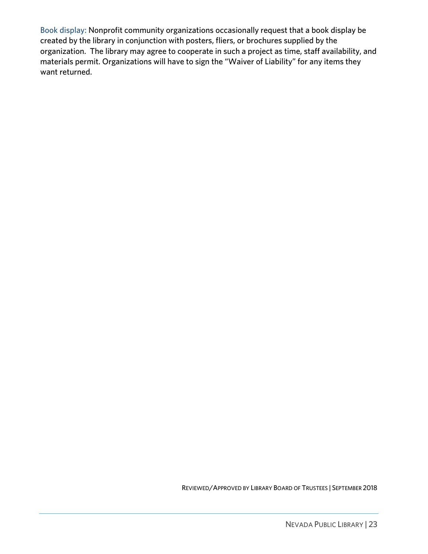Book display: Nonprofit community organizations occasionally request that a book display be created by the library in conjunction with posters, fliers, or brochures supplied by the organization. The library may agree to cooperate in such a project as time, staff availability, and organization. The norm, they agree to cooperate in such a project as time, start aramacing, and materials permit. Organizations will have to sign the "Waiver of Liability" for any items they want returned.

REVIEWED/APPROVED BY LIBRARY BOARD OF TRUSTEES | SEPTEMBER 2018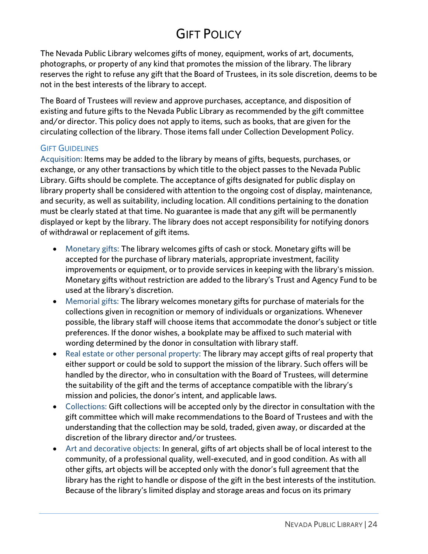# **GIFT POLICY**

<span id="page-23-0"></span>The Nevada Public Library welcomes gifts of money, equipment, works of art, documents, photographs, or property of any kind that promotes the mission of the library. The library reserves the right to refuse any gift that the Board of Trustees, in its sole discretion, deems to be not in the best interests of the library to accept. not in the best interests of the library to accept.

The Board of Trustees will review and approve purchases, acceptance, and disposition of existing and future gifts to the Nevada Public Library as recommended by the gift committee and/or director. This policy does not apply to items, such as books, that are given for the circulating collection of the library. Those items fall under Collection Development Policy. circulating collection of the library. Those items fall under Collection Development Policy.

<span id="page-23-1"></span>GIFT GUIDELINES<br>Acquisition: Items may be added to the library by means of gifts, bequests, purchases, or exchange, or any other transactions by which title to the object passes to the Nevada Public Library. Gifts should be complete. The acceptance of gifts designated for public display on library property shall be considered with attention to the ongoing cost of display, maintenance, and security, as well as suitability, including location. All conditions pertaining to the donation must be clearly stated at that time. No guarantee is made that any gift will be permanently displayed or kept by the library. The library does not accept responsibility for notifying donors of withdrawal or replacement of gift items. of withdrawal or replacement of gift items.

- Monetary gifts: The library welcomes gifts of cash or stock. Monetary gifts will be accepted for the purchase of library materials, appropriate investment, facility improvements or equipment, or to provide services in keeping with the library's mission.<br>Monetary gifts without restriction are added to the library's Trust and Agency Fund to be used at the library's discretion.<br>Momerial gifts: The library welcomes menetary gifts for purchase of materials for the
- Memorial gifts: The library welcomes monetary gifts for purchase of materials for the collections given in recognition or memory of individuals or organizations. Whenever possible, the library staff will choose items that accommodate the donor's subject or title preferences. If the donor wishes, a bookplate may be affixed to such material with wording determined by the donor in consultation with library staff.
- Real estate or other personal property: The library may accept gifts of real property that either support or could be sold to support the mission of the library. Such offers will be either support or could be sold to support the mission of the library. Such offers will be the suitability of the gift and the terms of acceptance compatible with the library's mission and policies, the donor's intent, and applicable laws.
- Collections: Gift collections will be accepted only by the director in consultation with the sitt committee which will make recommendations to the Board of Trustees and with the gift committee which will make recommendations to the Board of Trustees and with the understanding that the collection may be sold, traded, given away, or discarded at the discretion of the library director and/or trustees.
- Art and decorative objects: In general, gifts of art objects shall be of local interest to the<br>
community of a professional quality well-executed, and in good condition. As with all community, of a professional quality, well-executed, and in good condition. As with all library has the right to handle or dispose of the gift in the best interests of the institution. Because of the library's limited display and storage areas and focus on its primary  $\mathbf{B}$  the library is limited display and  $\mathbf{B}$  and  $\mathbf{B}$  and  $\mathbf{B}$  and focus on its primary  $\mathbf{B}$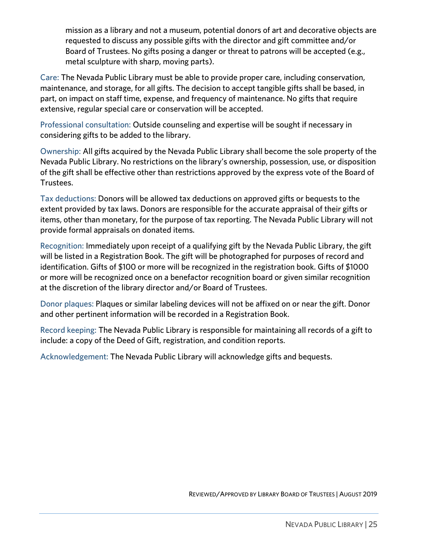mission as a library and not a museum, potential donors of art and decorative objects are<br>requested to discuss any possible gifts with the director and gift committee and/or Board of Trustees. No gifts posing a danger or threat to patrons will be accepted (e.g., Board of Tracteuring give posing a danger or threat to patrons will be accepted (e.g., metal sculpture with sharp, moving parts).

Care: The Nevada Public Library must be able to provide proper care, including conservation, maintenance, and storage, for all gifts. The decision to accept tangible gifts shall be based, in part, on impact on staff time, expense, and frequency of maintenance. No gifts that require  $p_{\text{ref}}$  is the state on the state of  $p_{\text{ref}}$  that requires,  $p_{\text{ref}}$  is that requires that requires that requires that requires that requires that requires that requires that requires that requires that requires the extensive, regular special care or conservation will be accepted.

 $\frac{1}{2}$  considering gifts to be added to the library in the sound experience  $\frac{1}{2}$ considering gifts to be added to the library.

Ownership: All gifts acquired by the Nevada Public Library shall become the sole property of the Nevada Public Library. No restrictions on the library of sunction<sub>f</sub>, possession, use, or disposition.<br>Of the gift shall be effective other than restrictions annroyed by the express yote of the Board of of the gift shall be effective other than restrictions approved by the express vote of the Board of Tructage Trustees.

Tax deductions: Donors will be allowed tax deductions on approved gifts or bequests to the items, other than monetary, for the purpose of tax reporting. The Nevada Public Library will not items, other than monetary, for the purpose of tax reporting. The Nevada Public Library will not the purpose of provide formal appraisals on donated items.

Recognition: Immediately upon receipt of a qualifying gift by the Nevada Public Library, the gift<br>will be listed in a Registration Book. The gift will be photographed for purposes of record and identification. Gifts of \$100 or more will be recognized in the registration book. Gifts of \$1000 or more will be recognized once on a benefactor recognition board or given similar recognition or more million be recognized once on a benefactor recognition board of given similar recognition.<br>at the discretion of the library director and /or Roard of Trustees at the discretion of the library director and/or Board of Trustees.

Donor plaques: Plaques or similar labeling devices minited of similar on or near the gift. Donor.<br>And other nertinent information will be recorded in a Registration Rook. and other pertinent information will be recorded in a Registration Book.

Record keeping: The Nevada Public Library is responsible for maintaining all records of a gift to include: a copy of the Deed of Gift, registration, and condition reports. include: a copy of the Deed of Gift, registration, and condition reports.

Acknowledgement: The Nevada Public Library will acknowledge gifts and bequests.

REVIEWED/APPROVED BY LIBRARY BOARD OF TRUSTEES | AUGUST 2019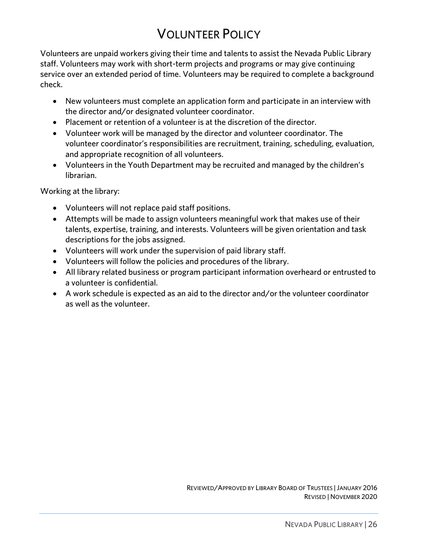# **VOLUNTEER POLICY**

<span id="page-25-0"></span>Volunteers are unpaid workers giving their time and talents to assist the Nevada Public Library staff. Volunteers may work with short-term projects and programs or may give continuing stame connected may work with short-term projects and programs or may give communing<br>service over an extended neriod of time. Volunteers may be required to complete a backer service over an extended period of time. Volume to complete a background to complete a background to complete check.

- New volunteers must complete an application form and participate in an interview with the director and/or designated volunteer coordinator.
- Placement or retention of a volunteer is at the discretion of the director.<br>• Volunteer werk will be managed by the director and volunteer coordinat
- Volunteer work will be managed by the director and volunteer coordinator. The volunteer coordinator's responsibilities are recruitment, training, scheduling, evaluation, and appropriate recognition of all volunteers.
- Volunteers in the Youth Department may be recruited and managed by the children's<br>librarian librarian.

where  $\frac{1}{2}$ 

- Volunteers will not replace paid staff positions.
- Attempts will be made to assign volunteers meaningful work that makes use of their talents, expertise, training, and interests. Volunteers will be given orientation and task descriptions for the jobs assigned.
- Volunteers will work under the supervision of paid library staff.<br>• Volunteers will follow the policies and precedures of the library
- Volunteers will follow the policies and procedures of the library.
- All library related business or program participant information overheard or entrusted to a volunteer is confidential.
- A work schedule is expected as an aid to the director and/or the volunteer coordinator<br>as well as the volunteer as well as the volunteer.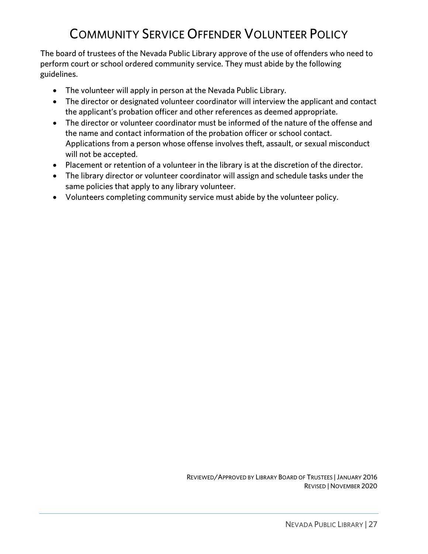# **COMMUNITY SERVICE OFFENDER VOLUNTEER POLICY**

<span id="page-26-0"></span>The board of trustees of the Nevada Public Library approve of the use of offenders who need to  $\frac{1}{2}$  The board of the Nevada Community carvice They must abide by the following perform court or school ordered community service. They must abide by the following guidelines.

- The volunteer will apply in person at the Nevada Public Library.
- The director or designated volunteer coordinator will interview the applicant and contact the applicant's probation officer and other references as deemed appropriate.
- The director or volunteer coordinator must be informed of the nature of the offense and the name and contact information of the probation officer or school contact. the name and contact information of the probation officer or school contact.<br>Applications from a person whose offense involves theft, assault, or sexual misconduct will not be accepted.
- Placement or retention of a volunteer in the library is at the discretion of the director.<br>• The library director or volunteer coerdinator will assign and schedule tasks under the
- The library director or volunteer coordinator will assign and schedule tasks under the same policies that apply to any library volunteer.
- Volunteers completing community service must abide by the volunteer policy.

REVIEWED/APPROVED BY LIBRARY BOARD OF TRUSTEES |JANUARY 2016 REVISED | NOVEMBER 2020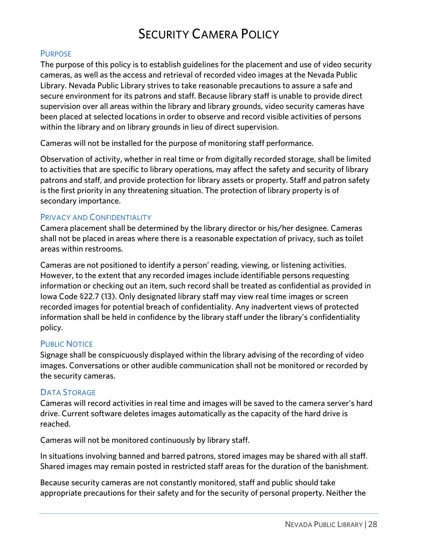### **SECURITY CAMERA POLICY** SECURITY CAMERA POLICY

### <span id="page-27-1"></span><span id="page-27-0"></span>**PURPOSE**

The purpose of this policy is to establish guidelines for the placement and use of video security cameras, as well as the access and retrieval of recorded video images at the Nevada Public Library. Nevada Public Library strives to take reasonable precautions to assure a safe and secure environment for its patrons and staff. Because library staff is unable to provide direct supervision over all areas within the library and library grounds, video security cameras have been placed at selected locations in order to observe and record visible activities of persons within the library and on library grounds in lieu of direct supervision. with the library grounds in library grounds in library grounds in library grounds in lieu of direct supervision.

Cameras will not be installed for the purpose of monitoring staff performance.

Observation of activity, whether in real time or from digitally recorded storage, shall be limited<br>to activities that are specific to library operations, may affect the safety and security of library patrons and staff, and provide protection for library assets or property. Staff and patron safety  $\frac{1}{2}$  is the first and  $\frac{1}{2}$  and  $\frac{1}{2}$  and  $\frac{1}{2}$  and  $\frac{1}{2}$  and  $\frac{1}{2}$  and  $\frac{1}{2}$  and  $\frac{1}{2}$  and  $\frac{1}{2}$  and  $\frac{1}{2}$  and  $\frac{1}{2}$  and  $\frac{1}{2}$  and  $\frac{1}{2}$  and  $\frac{1}{2}$  and  $\frac{1}{2}$  an  $\frac{1}{2}$  is the first priority in any threatening situation. The property is of  $\frac{1}{2}$  property is operation. secondary importance.

### <span id="page-27-2"></span>**PRIVACY AND CONFIDENTIALITY**

Camera placement shall be determined by the library director or his/her designee. Cameras shall not be placed in areas where there is a reasonable expectation of privacy, such as toilet areas within restrooms. areas within restrooms.

Cameras are not positioned to identify a person' reading, viewing, or listening activities. information or checking out an item, such record shall be treated as confidential as provided in lowa Code §22.7 (13). Only designated library staff may view real time images or screen recorded images for potential breach of confidentiality. Any inadvertent views of protected recorded images for potential breach of commentations, a matrice confidential to protected information shall be held in confidence by the library staff under the library's confidentiality.  $\sum_{i=1}^n$ policy.

### <span id="page-27-3"></span>**PUBLIC NOTICE**

Signage shall be conspicuously displayed within the library advising of the recording of video  $\frac{1}{2}$  signally displayed with the communication shall not be monitored or recorded by ing the conversations of the communications or other audit or recorded by monitored by monitored by monitored o<br>the conversation shall not be monitored by monitored by monitored by monitored by monitored by monitored by an the security cameras.

<span id="page-27-4"></span>DATA STORAGE<br>Cameras will record activities in real time and images will be saved to the camera server's hard cameras will record activities in real time and images will be saved to the camera server's hard.<br>drive Current software deletes images automatically as the canacity of the bard drive is drive. Current software deletes images automatically as the capacity of the hard drive is reached.

Cameras will not be monitored continuously by library staff.

In situations involving summer and same a patrons, stored images may be shared with all staff.<br>Shared images may remain nosted in restricted staff areas for the duration of the hanishment Shared images may remain posted in restricted staff areas for the duration of the banishment.

 $\frac{1}{2}$ appropriate precise precise precise  $\frac{1}{2}$  safety and for the security of personal property. Neither the second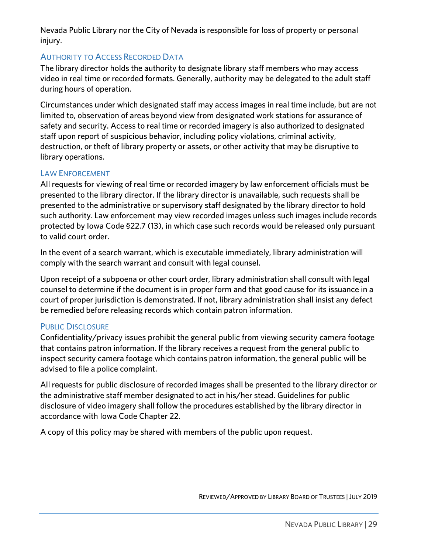Nevada Public Library nor the City of Nevada is responsible for loss of property or personal injury.

<span id="page-28-0"></span>AUTHORITY TO ACCESS RECORDED DATA<br>The library director holds the authority to designate library staff members who may access video in real time or recorded formats. Generally, authority may be delegated to the adult staff during hours of operation. during hours of operation.

Circumstances under which designated staff may access images in real time include, but are not safety and security. Access to real time or recorded imagery is also authorized to designated staff upon report of suspicious behavior, including policy violations, criminal activity, destruction, or theft of library property or assets, or other activity that may be disruptive to destruction, or theft of library property or assets, or other activity that may be disruptive to library operations.

<span id="page-28-1"></span>LAW ENFORCEMENT<br>All requests for viewing of real time or recorded imagery by law enforcement officials must be presented to the library director. If the library director is unavailable, such requests shall be presented to the administrative or supervisory staff designated by the library director to hold such authority. Law enforcement may view recorded images unless such images include records such authority. Law enforcement in the correction of the correction of the correction of the correction of the records would be released only nursuant protected by Iowa Code \$22.1 (15), in which case such records would be records only pursuant.<br>to valid court order to valid court order.

In the event of a search warrant, which is ensembled immediately, library administration will<br>comply with the search warrant and consult with legal counsel comply with the search with leading counsel.

Upon receipt of a subpoena or other court order, library administration shall consult with legal court of proper jurisdiction is demonstrated. If not, library administration shall insist any defect  $\frac{1}{2}$  for proper  $\frac{1}{2}$  is demonstrated. If  $\frac{1}{2}$  is demonstration is demonstration shall instance  $\frac{1}{2}$  is defined. In the form  $\frac{1}{2}$  is defined. In the form  $\frac{1}{2}$  is defined. In the form  $\frac{1}{2}$ be remedied before releasing records which contain patron information.

<span id="page-28-2"></span>PUBLIC DISCLOSURE<br>Confidentiality/privacy issues prohibit the general public from viewing security camera footage that contains patron information. If the library receives a request from the general public to inspect security camera footage which contains patron information, the general public will be advised to file a police complaint. advised to file a police complaint.

All requests for public disclosure of recorded images shall be presented to the library director or<br>the administrative staff member designated to act in his/her stead. Guidelines for public disclosure of video imagery shall follow the procedures established by the library director in accordance with Iowa Code Chapter 22. accordance with Iowa Code Chapter 22.

A copy of this policy may be shared with members of the public upon request.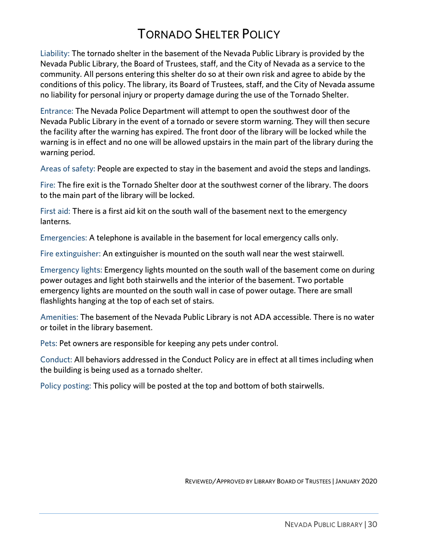# **TORNADO SHELTER POLICY**

<span id="page-29-0"></span>Liability: The tornado shelter in the basement of the Nevada Public Library is provided by the Nevada Public Library, the Board of Trustees, staff, and the City of Nevada as a service to the community. All persons entering this shelter do so at their own risk and agree to abide by the conditions of this policy. The library, its Board of Trustees, staff, and the City of Nevada assume no liability for personal injury or property damage during the use of the Tornado Shelter. no liability for personal injury or property damage during the use of the Tornado Shelter.

Entrance: The Nevada Police Department will attempt to open the southwest door of the the facility after the warning has expired. The front door of the library will be locked while the warning is in effect and no one will be allowed upstairs in the main part of the library during the  $w$ arning no one will be allowed upstairs in the main part of the main part of the main part of the main part of the library during the main part of the library during the main part of the main part of the library during warning period.

Areas of safety: People are expected to stay in the basement and avoid the steps and landings.

 $\frac{1}{2}$  to the main part of the library. will be locked to the main part of the library will be locked.

First aid: There is a first aid kit on the south wall of the basement next to the emergency lanterns.

Emergencies: A telephone is available in the basement for local emergency calls only.

Fire extinguisher: An extinguisher is mounted on the south wall near the west stairwell.

Emergency lights: Emergency lights mounted on the south wall of the basement come on during<br>power outages and light both stairwells and the interior of the basement. Two portable emergency lights are mounted on the south wall in case of power outage. There are small flashlights hanging at the top of each set of stairs. flash is the top of each set of state set of state set of state set of state set of state set of state set of state set of state set of state set of state set of state set of state set of state set of state set of state se

Amenities: The basement of the Nevada Public Library is not ADA accessible. There is no water or toilet in the library basement.

Pets: Pet owners are responsible for keeping any pets under control.

Conduct: All behaviors addressed in the Conduct Policy are in effect at all times including when the building is being used as a tornado shelter.

Policy posting: This policy will be posted at the top and bottom of both stairwells.

REVIEWED/APPROVED BY LIBRARY BOARD OF TRUSTEES |JANUARY 2020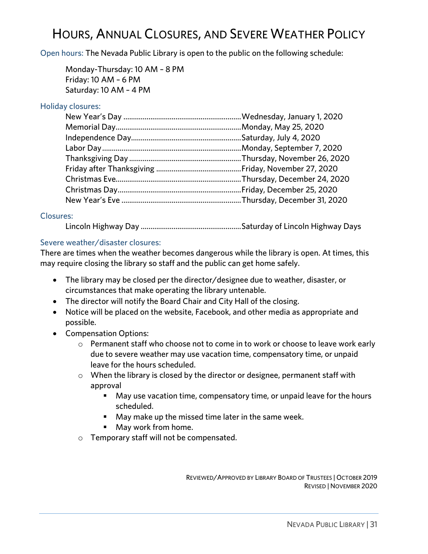<span id="page-30-1"></span><span id="page-30-0"></span>HOURS, ANNUAL CLOSURES, AND SEVERE WEATHER POLICY.<br>Hours, The News A Dublin Library is anon to the mublic on the following calculus. Open hours: The Nevada Public Library is open to the public on the following schedule:

Monday-Thursday: 10 AM – 8 PM Saturday: 10 AM - 4 PM  $\sim$  10  $\mu$ 

<span id="page-30-2"></span>

### <span id="page-30-3"></span>**Closures:**

Electric Lines Lincoln Highway Day ....................................................Saturday of Lincoln Highway Days

<span id="page-30-4"></span>Severe weather/disaster closures:<br>There are times when the weather becomes dangerous while the library is open. At times, this  $T$  There are times when the weather the weather  $\frac{1}{2}$  and the nublic can get home safely may require closing the library so staff and the public can get home safely.

- The library may be closed per the director/designee due to weather, disaster, or circumstances that make operating the library untenable.
- The director will notify the Board Chair and City Hall of the closing.<br>• Notice will be placed on the website. Eaceboak, and other modia as
- Notice will be placed on the website, Facebook, and other media as appropriate and possible.
- Compensation Options:
	- $\circ$  Permanent staff who choose not to come in to work or choose to leave work early due to severe weather may use vacation time, compensatory time, or unpaid leave for the hours scheduled.
	- o When the library is closed by the director or designee, permanent staff with
		- May use vacation time, compensatory time, or unpaid leave for the hours<br>
		scheduled
			- **Solutions in the missed time later in the same week.**<br>
			May work from home
			- May work from home.
	- <sup>o</sup> Temporary staff will not be compensated.

REVIEWED/APPROVED BY LIBRARY BOARD OF TRUSTEES | OCTOBER 2019 REVISED | NOVEMBER 2020